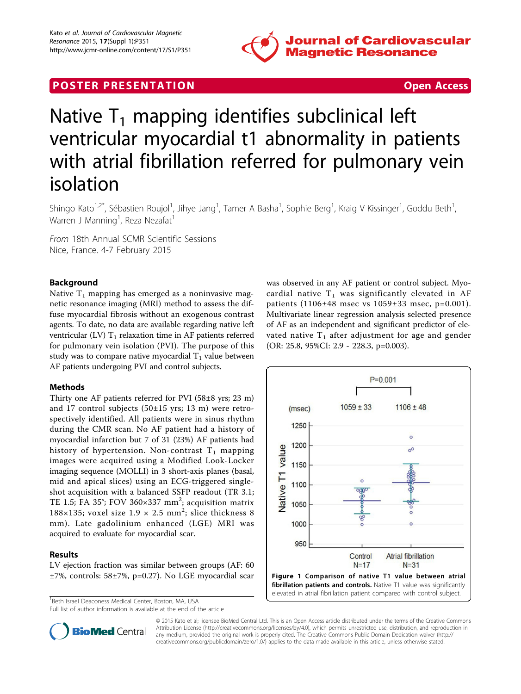

## **POSTER PRESENTATION CONSUMING THE SECOND CONSUMING THE SECOND CONSUMING THE SECOND CONSUMING THE SECOND CONSUMING THE SECOND CONSUMING THE SECOND CONSUMING THE SECOND CONSUMING THE SECOND CONSUMING THE SECOND CONSUMING**



# Native  $T_1$  mapping identifies subclinical left ventricular myocardial t1 abnormality in patients with atrial fibrillation referred for pulmonary vein isolation

Shingo Kato<sup>1,2\*</sup>, Sébastien Roujol<sup>1</sup>, Jihye Jang<sup>1</sup>, Tamer A Basha<sup>1</sup>, Sophie Berg<sup>1</sup>, Kraig V Kissinger<sup>1</sup>, Goddu Beth<sup>1</sup> , Warren J Manning<sup>1</sup>, Reza Nezafat<sup>1</sup>

From 18th Annual SCMR Scientific Sessions Nice, France. 4-7 February 2015

### Background

Native  $T_1$  mapping has emerged as a noninvasive magnetic resonance imaging (MRI) method to assess the diffuse myocardial fibrosis without an exogenous contrast agents. To date, no data are available regarding native left ventricular (LV)  $T_1$  relaxation time in AF patients referred for pulmonary vein isolation (PVI). The purpose of this study was to compare native myocardial  $T_1$  value between AF patients undergoing PVI and control subjects.

#### Methods

Thirty one AF patients referred for PVI (58±8 yrs; 23 m) and 17 control subjects (50±15 yrs; 13 m) were retrospectively identified. All patients were in sinus rhythm during the CMR scan. No AF patient had a history of myocardial infarction but 7 of 31 (23%) AF patients had history of hypertension. Non-contrast  $T_1$  mapping images were acquired using a Modified Look-Locker imaging sequence (MOLLI) in 3 short-axis planes (basal, mid and apical slices) using an ECG-triggered singleshot acquisition with a balanced SSFP readout (TR 3.1; TE 1.5; FA 35°; FOV 360×337 mm<sup>2</sup>; acquisition matrix 188×135; voxel size  $1.9 \times 2.5$  mm<sup>2</sup>; slice thickness 8 mm). Late gadolinium enhanced (LGE) MRI was acquired to evaluate for myocardial scar.

#### Results

LV ejection fraction was similar between groups (AF: 60 ±7%, controls: 58±7%, p=0.27). No LGE myocardial scar

<sup>1</sup> Beth Israel Deaconess Medical Center, Boston, MA, USA

Full list of author information is available at the end of the article

was observed in any AF patient or control subject. Myocardial native  $T_1$  was significantly elevated in AF patients (1106±48 msec vs 1059±33 msec, p=0.001). Multivariate linear regression analysis selected presence of AF as an independent and significant predictor of elevated native  $T_1$  after adjustment for age and gender (OR: 25.8, 95%CI: 2.9 - 228.3, p=0.003).





© 2015 Kato et al; licensee BioMed Central Ltd. This is an Open Access article distributed under the terms of the Creative Commons Attribution License [\(http://creativecommons.org/licenses/by/4.0](http://creativecommons.org/licenses/by/4.0)), which permits unrestricted use, distribution, and reproduction in any medium, provided the original work is properly cited. The Creative Commons Public Domain Dedication waiver [\(http://](http://creativecommons.org/publicdomain/zero/1.0/) [creativecommons.org/publicdomain/zero/1.0/](http://creativecommons.org/publicdomain/zero/1.0/)) applies to the data made available in this article, unless otherwise stated.